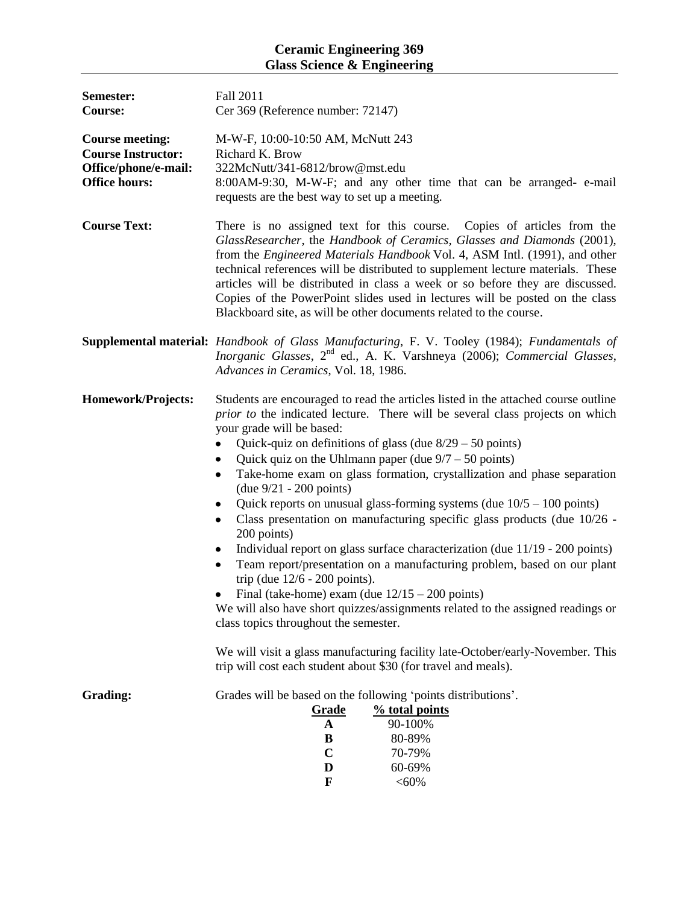## **Ceramic Engineering 369 Glass Science & Engineering**

| Semester:<br><b>Course:</b>                                                                         | Fall 2011<br>Cer 369 (Reference number: 72147)                                                                                                                                                                                                                                                                                                                                                                                                                                                                                                                                                                                                                                                                                                                                                                                                                                                                                                                                                                                                                                                                                                                      |  |  |
|-----------------------------------------------------------------------------------------------------|---------------------------------------------------------------------------------------------------------------------------------------------------------------------------------------------------------------------------------------------------------------------------------------------------------------------------------------------------------------------------------------------------------------------------------------------------------------------------------------------------------------------------------------------------------------------------------------------------------------------------------------------------------------------------------------------------------------------------------------------------------------------------------------------------------------------------------------------------------------------------------------------------------------------------------------------------------------------------------------------------------------------------------------------------------------------------------------------------------------------------------------------------------------------|--|--|
| <b>Course meeting:</b><br><b>Course Instructor:</b><br>Office/phone/e-mail:<br><b>Office hours:</b> | M-W-F, 10:00-10:50 AM, McNutt 243<br>Richard K. Brow<br>322McNutt/341-6812/brow@mst.edu<br>8:00AM-9:30, M-W-F; and any other time that can be arranged- e-mail<br>requests are the best way to set up a meeting.                                                                                                                                                                                                                                                                                                                                                                                                                                                                                                                                                                                                                                                                                                                                                                                                                                                                                                                                                    |  |  |
| <b>Course Text:</b>                                                                                 | There is no assigned text for this course. Copies of articles from the<br>GlassResearcher, the Handbook of Ceramics, Glasses and Diamonds (2001),<br>from the <i>Engineered Materials Handbook</i> Vol. 4, ASM Intl. (1991), and other<br>technical references will be distributed to supplement lecture materials. These<br>articles will be distributed in class a week or so before they are discussed.<br>Copies of the PowerPoint slides used in lectures will be posted on the class<br>Blackboard site, as will be other documents related to the course.                                                                                                                                                                                                                                                                                                                                                                                                                                                                                                                                                                                                    |  |  |
|                                                                                                     | <b>Supplemental material:</b> Handbook of Glass Manufacturing, F. V. Tooley (1984); Fundamentals of<br>Inorganic Glasses, 2 <sup>nd</sup> ed., A. K. Varshneya (2006); Commercial Glasses,<br>Advances in Ceramics, Vol. 18, 1986.                                                                                                                                                                                                                                                                                                                                                                                                                                                                                                                                                                                                                                                                                                                                                                                                                                                                                                                                  |  |  |
| Homework/Projects:                                                                                  | Students are encouraged to read the articles listed in the attached course outline<br>prior to the indicated lecture. There will be several class projects on which<br>your grade will be based:<br>Quick-quiz on definitions of glass (due $8/29 - 50$ points)<br>Quick quiz on the Uhlmann paper (due $9/7 - 50$ points)<br>٠<br>Take-home exam on glass formation, crystallization and phase separation<br>$($ due $9/21 - 200$ points)<br>Quick reports on unusual glass-forming systems (due $10/5 - 100$ points)<br>Class presentation on manufacturing specific glass products (due 10/26 -<br>200 points)<br>Individual report on glass surface characterization (due 11/19 - 200 points)<br>٠<br>Team report/presentation on a manufacturing problem, based on our plant<br>٠<br>trip (due $12/6 - 200$ points).<br>Final (take-home) exam (due $12/15 - 200$ points)<br>٠<br>We will also have short quizzes/assignments related to the assigned readings or<br>class topics throughout the semester.<br>We will visit a glass manufacturing facility late-October/early-November. This<br>trip will cost each student about \$30 (for travel and meals). |  |  |
| <b>Grading:</b>                                                                                     | Grades will be based on the following 'points distributions'.<br>% total points<br><b>Grade</b><br>90-100%<br>A<br>80-89%<br>В<br>$\mathbf C$<br>70-79%<br>60-69%<br>D<br>F<br>$< 60\%$                                                                                                                                                                                                                                                                                                                                                                                                                                                                                                                                                                                                                                                                                                                                                                                                                                                                                                                                                                             |  |  |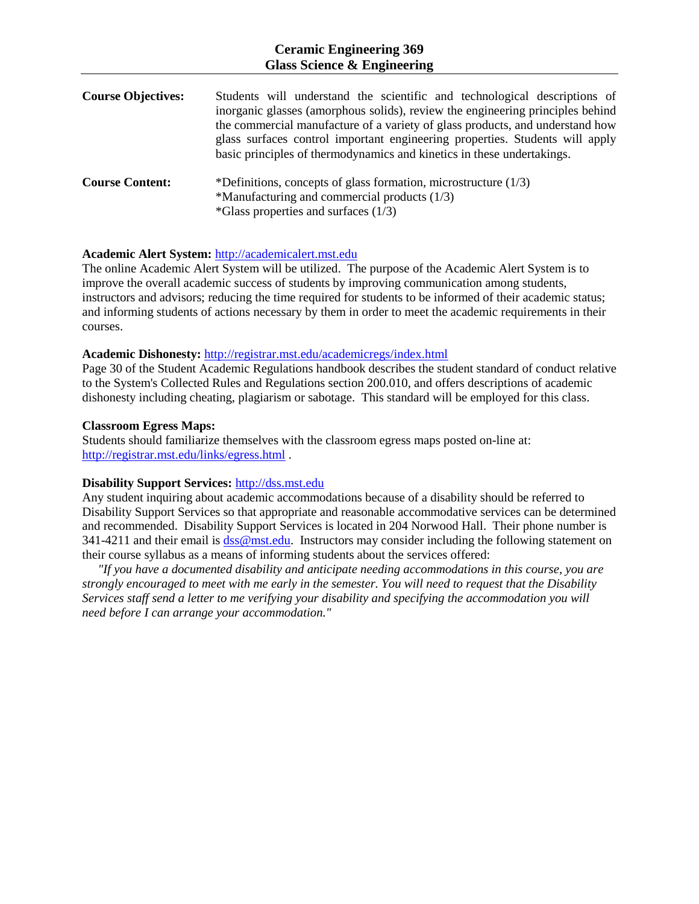## **Ceramic Engineering 369 Glass Science & Engineering**

| <b>Course Objectives:</b> | Students will understand the scientific and technological descriptions of<br>inorganic glasses (amorphous solids), review the engineering principles behind<br>the commercial manufacture of a variety of glass products, and understand how<br>glass surfaces control important engineering properties. Students will apply<br>basic principles of thermodynamics and kinetics in these undertakings. |
|---------------------------|--------------------------------------------------------------------------------------------------------------------------------------------------------------------------------------------------------------------------------------------------------------------------------------------------------------------------------------------------------------------------------------------------------|
| <b>Course Content:</b>    | *Definitions, concepts of glass formation, microstructure $(1/3)$<br>*Manufacturing and commercial products $(1/3)$<br>$*Glass$ properties and surfaces (1/3)                                                                                                                                                                                                                                          |

#### **Academic Alert System:** [http://academicalert.mst.edu](http://academicalert.mst.edu/)

The online Academic Alert System will be utilized. The purpose of the Academic Alert System is to improve the overall academic success of students by improving communication among students, instructors and advisors; reducing the time required for students to be informed of their academic status; and informing students of actions necessary by them in order to meet the academic requirements in their courses.

#### **Academic Dishonesty:** <http://registrar.mst.edu/academicregs/index.html>

Page 30 of the Student Academic Regulations handbook describes the student standard of conduct relative to the System's Collected Rules and Regulations section 200.010, and offers descriptions of academic dishonesty including cheating, plagiarism or sabotage. This standard will be employed for this class.

#### **Classroom Egress Maps:**

Students should familiarize themselves with the classroom egress maps posted on-line at: <http://registrar.mst.edu/links/egress.html> .

### **Disability Support Services:** [http://dss.mst.edu](http://dss.mst.edu/)

Any student inquiring about academic accommodations because of a disability should be referred to Disability Support Services so that appropriate and reasonable accommodative services can be determined and recommended. Disability Support Services is located in 204 Norwood Hall. Their phone number is 341-4211 and their email i[s dss@mst.edu.](mailto:dss@mst.edu) Instructors may consider including the following statement on their course syllabus as a means of informing students about the services offered:

 *"If you have a documented disability and anticipate needing accommodations in this course, you are strongly encouraged to meet with me early in the semester. You will need to request that the Disability Services staff send a letter to me verifying your disability and specifying the accommodation you will need before I can arrange your accommodation."*